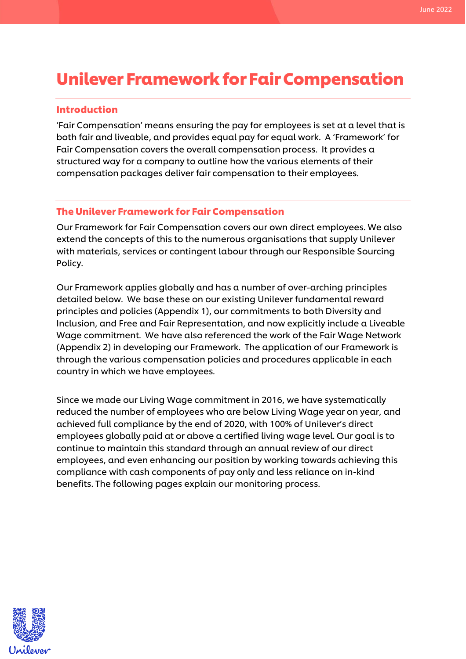# Unilever Framework for Fair Compensation

#### Introduction

'Fair Compensation' means ensuring the pay for employees is set at a level that is both fair and liveable, and provides equal pay for equal work. A 'Framework' for Fair Compensation covers the overall compensation process. It provides a structured way for a company to outline how the various elements of their compensation packages deliver fair compensation to their employees.

## The Unilever Framework for Fair Compensation

Our Framework for Fair Compensation covers our own direct employees. We also extend the concepts of this to the numerous organisations that supply Unilever with materials, services or contingent labour through our Responsible Sourcing Policy.

Our Framework applies globally and has a number of over-arching principles detailed below. We base these on our existing Unilever fundamental reward principles and policies (Appendix 1), our commitments to both Diversity and Inclusion, and Free and Fair Representation, and now explicitly include a Liveable Wage commitment. We have also referenced the work of the Fair Wage Network (Appendix 2) in developing our Framework. The application of our Framework is through the various compensation policies and procedures applicable in each country in which we have employees.

Since we made our Living Wage commitment in 2016, we have systematically reduced the number of employees who are below Living Wage year on year, and achieved full compliance by the end of 2020, with 100% of Unilever's direct employees globally paid at or above a certified living wage level. Our goal is to continue to maintain this standard through an annual review of our direct employees, and even enhancing our position by working towards achieving this compliance with cash components of pay only and less reliance on in-kind benefits. The following pages explain our monitoring process.

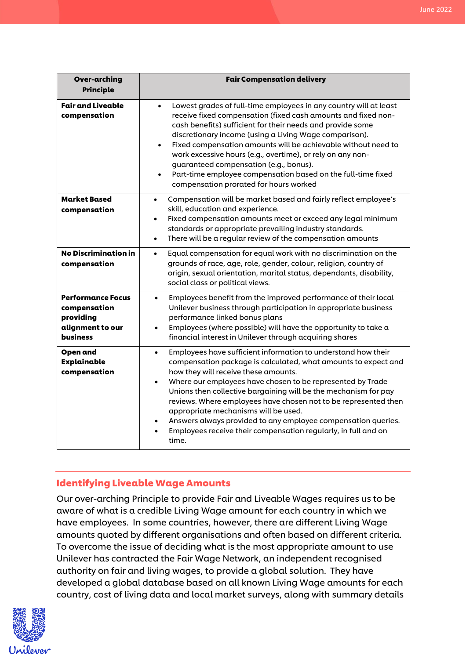| <b>Over-arching</b><br><b>Principle</b>                                                      | <b>Fair Compensation delivery</b>                                                                                                                                                                                                                                                                                                                                                                                                                                                                                                                                                    |
|----------------------------------------------------------------------------------------------|--------------------------------------------------------------------------------------------------------------------------------------------------------------------------------------------------------------------------------------------------------------------------------------------------------------------------------------------------------------------------------------------------------------------------------------------------------------------------------------------------------------------------------------------------------------------------------------|
| <b>Fair and Liveable</b><br>compensation                                                     | Lowest grades of full-time employees in any country will at least<br>$\bullet$<br>receive fixed compensation (fixed cash amounts and fixed non-<br>cash benefits) sufficient for their needs and provide some<br>discretionary income (using a Living Wage comparison).<br>Fixed compensation amounts will be achievable without need to<br>$\bullet$<br>work excessive hours (e.g., overtime), or rely on any non-<br>guaranteed compensation (e.g., bonus).<br>Part-time employee compensation based on the full-time fixed<br>$\bullet$<br>compensation prorated for hours worked |
| <b>Market Based</b><br>compensation                                                          | Compensation will be market based and fairly reflect employee's<br>$\bullet$<br>skill, education and experience.<br>Fixed compensation amounts meet or exceed any legal minimum<br>$\bullet$<br>standards or appropriate prevailing industry standards.<br>There will be a regular review of the compensation amounts<br>$\bullet$                                                                                                                                                                                                                                                   |
| <b>No Discrimination in</b><br>compensation                                                  | Equal compensation for equal work with no discrimination on the<br>$\bullet$<br>grounds of race, age, role, gender, colour, religion, country of<br>origin, sexual orientation, marital status, dependants, disability,<br>social class or political views.                                                                                                                                                                                                                                                                                                                          |
| <b>Performance Focus</b><br>compensation<br>providing<br>alignment to our<br><b>business</b> | Employees benefit from the improved performance of their local<br>$\bullet$<br>Unilever business through participation in appropriate business<br>performance linked bonus plans<br>Employees (where possible) will have the opportunity to take a<br>financial interest in Unilever through acquiring shares                                                                                                                                                                                                                                                                        |
| <b>Open and</b><br>Explainable<br>compensation                                               | Employees have sufficient information to understand how their<br>$\bullet$<br>compensation package is calculated, what amounts to expect and<br>how they will receive these amounts.<br>Where our employees have chosen to be represented by Trade<br>Unions then collective bargaining will be the mechanism for pay<br>reviews. Where employees have chosen not to be represented then<br>appropriate mechanisms will be used.<br>Answers always provided to any employee compensation queries.<br>Employees receive their compensation regularly, in full and on<br>time.         |

## Identifying Liveable Wage Amounts

Our over-arching Principle to provide Fair and Liveable Wages requires us to be aware of what is a credible Living Wage amount for each country in which we have employees. In some countries, however, there are different Living Wage amounts quoted by different organisations and often based on different criteria. To overcome the issue of deciding what is the most appropriate amount to use Unilever has contracted the Fair Wage Network, an independent recognised authority on fair and living wages, to provide a global solution. They have developed a global database based on all known Living Wage amounts for each country, cost of living data and local market surveys, along with summary details

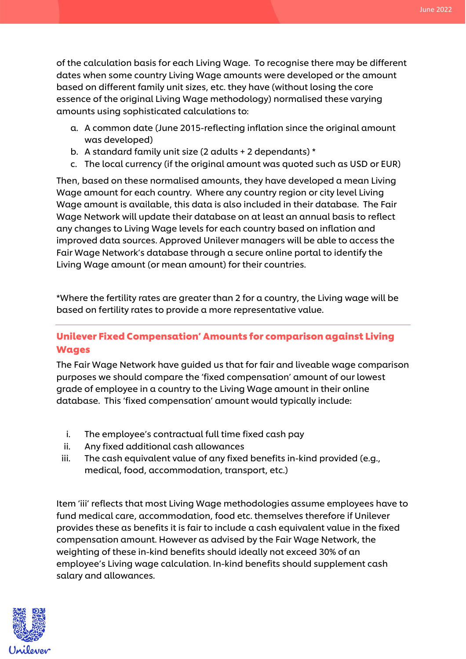June 2022

of the calculation basis for each Living Wage. To recognise there may be different dates when some country Living Wage amounts were developed or the amount based on different family unit sizes, etc. they have (without losing the core essence of the original Living Wage methodology) normalised these varying amounts using sophisticated calculations to:

- a. A common date (June 2015-reflecting inflation since the original amount was developed)
- b. A standard family unit size (2 adults + 2 dependants) \*
- c. The local currency (if the original amount was quoted such as USD or EUR)

Then, based on these normalised amounts, they have developed a mean Living Wage amount for each country. Where any country region or city level Living Wage amount is available, this data is also included in their database. The Fair Wage Network will update their database on at least an annual basis to reflect any changes to Living Wage levels for each country based on inflation and improved data sources. Approved Unilever managers will be able to access the Fair Wage Network's database through a secure online portal to identify the Living Wage amount (or mean amount) for their countries.

\*Where the fertility rates are greater than 2 for a country, the Living wage will be based on fertility rates to provide a more representative value.

## Unilever Fixed Compensation' Amounts for comparison against Living Wages

The Fair Wage Network have guided us that for fair and liveable wage comparison purposes we should compare the 'fixed compensation' amount of our lowest grade of employee in a country to the Living Wage amount in their online database. This 'fixed compensation' amount would typically include:

- i. The employee's contractual full time fixed cash pay
- ii. Any fixed additional cash allowances
- iii. The cash equivalent value of any fixed benefits in-kind provided (e.g., medical, food, accommodation, transport, etc.)

Item 'iii' reflects that most Living Wage methodologies assume employees have to fund medical care, accommodation, food etc. themselves therefore if Unilever provides these as benefits it is fair to include a cash equivalent value in the fixed compensation amount. However as advised by the Fair Wage Network, the weighting of these in-kind benefits should ideally not exceed 30% of an employee's Living wage calculation. In-kind benefits should supplement cash salary and allowances.

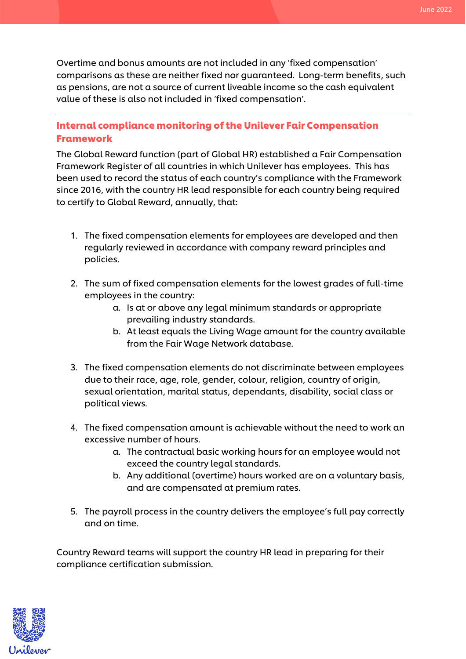Overtime and bonus amounts are not included in any 'fixed compensation' comparisons as these are neither fixed nor guaranteed. Long-term benefits, such as pensions, are not a source of current liveable income so the cash equivalent value of these is also not included in 'fixed compensation'.

## Internal compliance monitoring of the Unilever Fair Compensation Framework

The Global Reward function (part of Global HR) established a Fair Compensation Framework Register of all countries in which Unilever has employees. This has been used to record the status of each country's compliance with the Framework since 2016, with the country HR lead responsible for each country being required to certify to Global Reward, annually, that:

- 1. The fixed compensation elements for employees are developed and then regularly reviewed in accordance with company reward principles and policies.
- 2. The sum of fixed compensation elements for the lowest grades of full-time employees in the country:
	- a. Is at or above any legal minimum standards or appropriate prevailing industry standards.
	- b. At least equals the Living Wage amount for the country available from the Fair Wage Network database.
- 3. The fixed compensation elements do not discriminate between employees due to their race, age, role, gender, colour, religion, country of origin, sexual orientation, marital status, dependants, disability, social class or political views.
- 4. The fixed compensation amount is achievable without the need to work an excessive number of hours.
	- a. The contractual basic working hours for an employee would not exceed the country legal standards.
	- b. Any additional (overtime) hours worked are on a voluntary basis, and are compensated at premium rates.
- 5. The payroll process in the country delivers the employee's full pay correctly and on time.

Country Reward teams will support the country HR lead in preparing for their compliance certification submission.

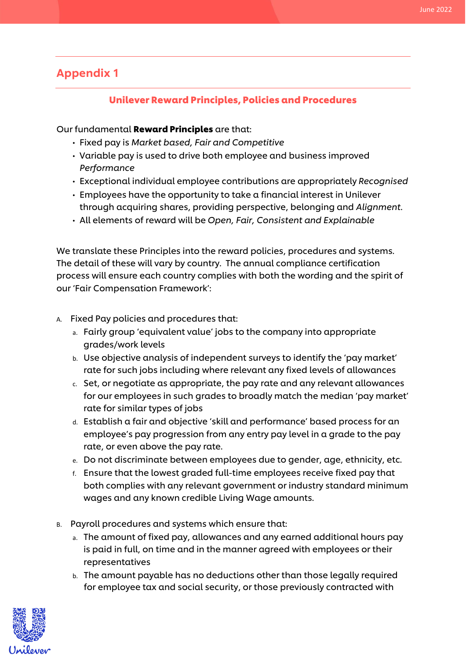# Appendix 1

## Unilever Reward Principles, Policies and Procedures

### Our fundamental Reward Principles are that:

- Fixed pay is *Market based, Fair and Competitive*
- Variable pay is used to drive both employee and business improved *Performance*
- Exceptional individual employee contributions are appropriately *Recognised*
- Employees have the opportunity to take a financial interest in Unilever through acquiring shares, providing perspective, belonging and *Alignment*.
- All elements of reward will be *Open, Fair, Consistent and Explainable*

We translate these Principles into the reward policies, procedures and systems. The detail of these will vary by country. The annual compliance certification process will ensure each country complies with both the wording and the spirit of our 'Fair Compensation Framework':

#### A. Fixed Pay policies and procedures that:

- a. Fairly group 'equivalent value' jobs to the company into appropriate grades/work levels
- b. Use objective analysis of independent surveys to identify the 'pay market' rate for such jobs including where relevant any fixed levels of allowances
- c. Set, or negotiate as appropriate, the pay rate and any relevant allowances for our employees in such grades to broadly match the median 'pay market' rate for similar types of jobs
- d. Establish a fair and objective 'skill and performance' based process for an employee's pay progression from any entry pay level in a grade to the pay rate, or even above the pay rate.
- e. Do not discriminate between employees due to gender, age, ethnicity, etc.
- f. Ensure that the lowest graded full-time employees receive fixed pay that both complies with any relevant government or industry standard minimum wages and any known credible Living Wage amounts.
- B. Payroll procedures and systems which ensure that:
	- a. The amount of fixed pay, allowances and any earned additional hours pay is paid in full, on time and in the manner agreed with employees or their representatives
	- b. The amount payable has no deductions other than those legally required for employee tax and social security, or those previously contracted with

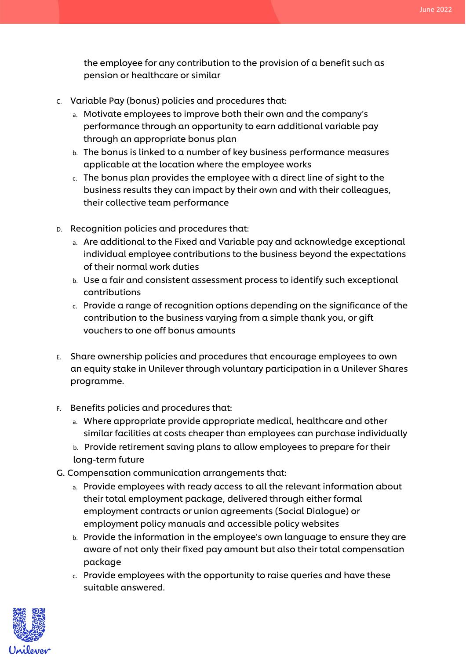the employee for any contribution to the provision of a benefit such as pension or healthcare or similar

- C. Variable Pay (bonus) policies and procedures that:
	- a. Motivate employees to improve both their own and the company's performance through an opportunity to earn additional variable pay through an appropriate bonus plan
	- b. The bonus is linked to a number of key business performance measures applicable at the location where the employee works
	- c. The bonus plan provides the employee with a direct line of sight to the business results they can impact by their own and with their colleagues, their collective team performance
- D. Recognition policies and procedures that:
	- a. Are additional to the Fixed and Variable pay and acknowledge exceptional individual employee contributions to the business beyond the expectations of their normal work duties
	- b. Use a fair and consistent assessment process to identify such exceptional contributions
	- c. Provide a range of recognition options depending on the significance of the contribution to the business varying from a simple thank you, or gift vouchers to one off bonus amounts
- E. Share ownership policies and procedures that encourage employees to own an equity stake in Unilever through voluntary participation in a Unilever Shares programme.
- F. Benefits policies and procedures that:
	- a. Where appropriate provide appropriate medical, healthcare and other similar facilities at costs cheaper than employees can purchase individually
	- b. Provide retirement saving plans to allow employees to prepare for their long-term future
- G. Compensation communication arrangements that:
	- a. Provide employees with ready access to all the relevant information about their total employment package, delivered through either formal employment contracts or union agreements (Social Dialogue) or employment policy manuals and accessible policy websites
	- b. Provide the information in the employee's own language to ensure they are aware of not only their fixed pay amount but also their total compensation package
	- c. Provide employees with the opportunity to raise queries and have these suitable answered.

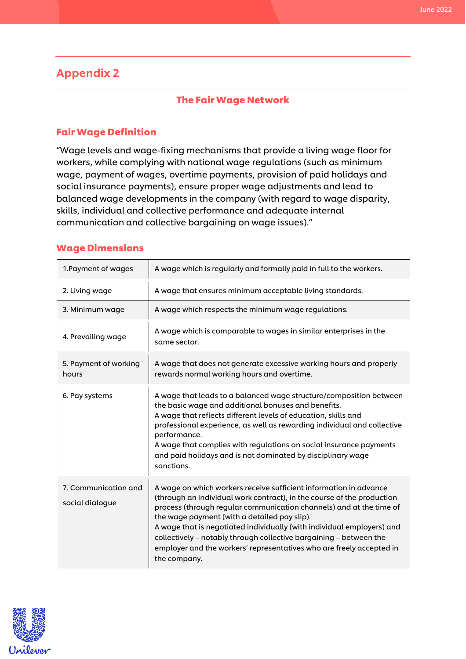## Appendix 2

#### The Fair Wage Network

#### Fair Wage Definition

"Wage levels and wage-fixing mechanisms that provide a living wage floor for workers, while complying with national wage regulations (such as minimum wage, payment of wages, overtime payments, provision of paid holidays and social insurance payments), ensure proper wage adjustments and lead to balanced wage developments in the company (with regard to wage disparity, skills, individual and collective performance and adequate internal communication and collective bargaining on wage issues)."

#### Wage Dimensions

| 1. Payment of wages                     | A wage which is regularly and formally paid in full to the workers.                                                                                                                                                                                                                                                                                                                                                                                                                                        |
|-----------------------------------------|------------------------------------------------------------------------------------------------------------------------------------------------------------------------------------------------------------------------------------------------------------------------------------------------------------------------------------------------------------------------------------------------------------------------------------------------------------------------------------------------------------|
| 2. Living wage                          | A wage that ensures minimum acceptable living standards.                                                                                                                                                                                                                                                                                                                                                                                                                                                   |
| 3. Minimum wage                         | A wage which respects the minimum wage regulations.                                                                                                                                                                                                                                                                                                                                                                                                                                                        |
| 4. Prevailing wage                      | A wage which is comparable to wages in similar enterprises in the<br>same sector.                                                                                                                                                                                                                                                                                                                                                                                                                          |
| 5. Payment of working<br>hours          | A wage that does not generate excessive working hours and properly<br>rewards normal working hours and overtime.                                                                                                                                                                                                                                                                                                                                                                                           |
| 6. Pay systems                          | A wage that leads to a balanced wage structure/composition between<br>the basic wage and additional bonuses and benefits.<br>A wage that reflects different levels of education, skills and<br>professional experience, as well as rewarding individual and collective<br>performance.<br>A wage that complies with regulations on social insurance payments<br>and paid holidays and is not dominated by disciplinary wage<br>sanctions.                                                                  |
| 7. Communication and<br>social dialogue | A wage on which workers receive sufficient information in advance<br>(through an individual work contract), in the course of the production<br>process (through regular communication channels) and at the time of<br>the wage payment (with a detailed pay slip).<br>A wage that is negotiated individually (with individual employers) and<br>collectively - notably through collective bargaining - between the<br>employer and the workers' representatives who are freely accepted in<br>the company. |